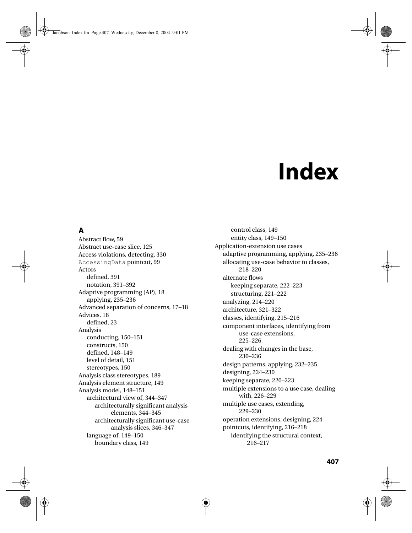# **Index**

# **A**

Abstract flow, 59 Abstract use-case slice, 125 Access violations, detecting, 330 AccessingData pointcut, 99 Actors defined, 391 notation, 391–392 Adaptive programming (AP), 18 applying, 235–236 Advanced separation of concerns, 17–18 Advices, 18 defined, 23 Analysis conducting, 150–151 constructs, 150 defined, 148–149 level of detail, 151 stereotypes, 150 Analysis class stereotypes, 189 Analysis element structure, 149 Analysis model, 148–151 architectural view of, 344–347 architecturally significant analysis elements, 344–345 architecturally significant use-case analysis slices, 346–347 language of, 149–150 boundary class, 149

control class, 149 entity class, 149–150 Application-extension use cases adaptive programming, applying, 235–236 allocating use-case behavior to classes, 218–220 alternate flows keeping separate, 222–223 structuring, 221–222 analyzing, 214–220 architecture, 321–322 classes, identifying, 215–216 component interfaces, identifying from use-case extensions, 225–226 dealing with changes in the base, 230–236 design patterns, applying, 232–235 designing, 224–230 keeping separate, 220–223 multiple extensions to a use case, dealing with, 226–229 multiple use cases, extending, 229–230 operation extensions, designing, 224 pointcuts, identifying, 216–218 identifying the structural context, 216–217

**407**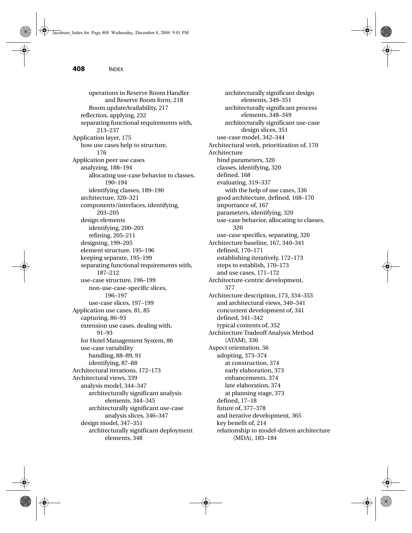operations in Reserve Room Handler and Reserve Room form, 218 Room.updateAvailability, 217 reflection, applying, 232 separating functional requirements with, 213–237 Application layer, 175 how use cases help to structure, 176 Application peer use cases analyzing, 188–194 allocating use-case behavior to classes, 190–194 identifying classes, 189–190 architecture, 320–321 components/interfaces, identifying, 203–205 design elements identifying, 200–203 refining, 205–211 designing, 199–205 element structure, 195–196 keeping separate, 195–199 separating functional requirements with, 187–212 use-case structure, 196–199 non-use-case-specific slices, 196–197 use-case slices, 197–199 Application use cases, 81, 85 capturing, 86–93 extension use cases, dealing with, 91–93 for Hotel Management System, 86 use-case variability handling, 88–89, 91 identifying, 87–88 Architectural iterations, 172–173 Architectural views, 339 analysis model, 344–347 architecturally significant analysis elements, 344–345 architecturally significant use-case analysis slices, 346–347 design model, 347–351 architecturally significant deployment elements, 348

architecturally significant design elements, 349–351 architecturally significant process elements, 348–349 architecturally significant use-case design slices, 351 use-case model, 342–344 Architectural work, prioritization of, 170 Architecture bind parameters, 320 classes, identifying, 320 defined, 168 evaluating, 319–337 with the help of use cases, 336 good architecture, defined, 168–170 importance of, 167 parameters, identifying, 320 use-case behavior, allocating to classes, 320 use-case specifics, separating, 320 Architecture baseline, 167, 340–341 defined, 170–171 establishing iteratively, 172–173 steps to establish, 170–173 and use cases, 171–172 Architecture-centric development, 377 Architecture description, 173, 334–353 and architectural views, 340–341 concurrent development of, 341 defined, 341–342 typical contents of, 352 Architecture Tradeoff Analysis Method (ATAM), 336 Aspect orientation, 56 adopting, 373–374 at construction, 374 early elaboration, 373 enhancements, 374 late elaboration, 374 at planning stage, 373 defined, 17–18 future of, 377–378 and iterative development, 365 key benefit of, 214 relationship to model-driven architecture (MDA), 183–184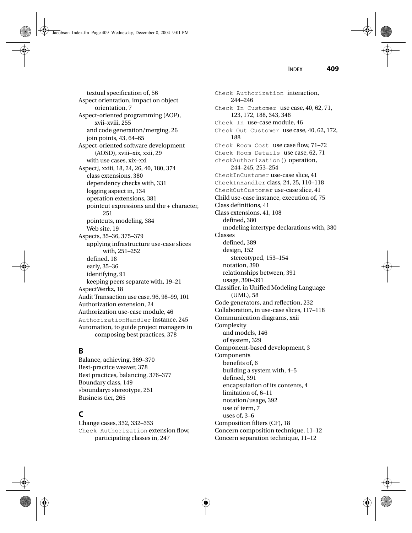Jacobson\_Index.fm Page 409 Wednesday, December 8, 2004 9:01 PM

INDEX **409**

textual specification of, 56 Aspect orientation, impact on object orientation, 7 Aspect-oriented programming (AOP), xvii–xviii, 255 and code generation/merging, 26 join points, 43, 64–65 Aspect-oriented software development (AOSD), xviii–xix, xxii, 29 with use cases, xix–xxi AspectJ, xxiii, 18, 24, 26, 40, 180, 374 class extensions, 380 dependency checks with, 331 logging aspect in, 134 operation extensions, 381 pointcut expressions and the + character, 251 pointcuts, modeling, 384 Web site, 19 Aspects, 35–36, 375–379 applying infrastructure use-case slices with, 251–252 defined, 18 early, 35–36 identifying, 91 keeping peers separate with, 19–21 AspectWerkz, 18 Audit Transaction use case, 96, 98–99, 101 Authorization extension, 24 Authorization use-case module, 46 AuthorizationHandler instance, 245 Automation, to guide project managers in composing best practices, 378

# **B**

Balance, achieving, 369–370 Best-practice weaver, 378 Best practices, balancing, 376–377 Boundary class, 149 «boundary» stereotype, 251 Business tier, 265

# **C**

Change cases, 332, 332–333 Check Authorization extension flow, participating classes in, 247

Check Authorization interaction, 244–246 Check In Customer use case, 40, 62, 71, 123, 172, 188, 343, 348 Check In use-case module, 46 Check Out Customer use case, 40, 62, 172, 188 Check Room Cost use case flow, 71–72 Check Room Details use case, 62, 71 checkAuthorization() operation, 244–245, 253–254 CheckInCustomer use-case slice, 41 CheckInHandler class, 24, 25, 110–118 CheckOutCustomer use-case slice, 41 Child use-case instance, execution of, 75 Class definitions, 41 Class extensions, 41, 108 defined, 380 modeling intertype declarations with, 380 Classes defined, 389 design, 152 stereotyped, 153–154 notation, 390 relationships between, 391 usage, 390–391 Classifier, in Unified Modeling Language (UML), 58 Code generators, and reflection, 232 Collaboration, in use-case slices, 117–118 Communication diagrams, xxii Complexity and models, 146 of system, 329 Component-based development, 3 Components benefits of, 6 building a system with, 4–5 defined, 391 encapsulation of its contents, 4 limitation of, 6–11 notation/usage, 392 use of term, 7 uses of, 3–6 Composition filters (CF), 18 Concern composition technique, 11–12 Concern separation technique, 11–12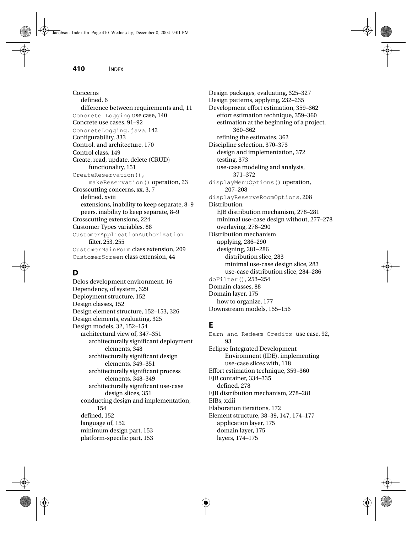Concerns defined, 6 difference between requirements and, 11 Concrete Logging use case, 140 Concrete use cases, 91–92 ConcreteLogging.java, 142 Configurability, 333 Control, and architecture, 170 Control class, 149 Create, read, update, delete (CRUD) functionality, 151 CreateReservation(), makeReservation() operation, 23 Crosscutting concerns, xx, 3, 7 defined, xviii extensions, inability to keep separate, 8–9 peers, inability to keep separate, 8–9 Crosscutting extensions, 224 Customer Types variables, 88 CustomerApplicationAuthorization filter, 253, 255 CustomerMainForm class extension, 209 CustomerScreen class extension, 44

# **D**

Delos development environment, 16 Dependency, of system, 329 Deployment structure, 152 Design classes, 152 Design element structure, 152–153, 326 Design elements, evaluating, 325 Design models, 32, 152–154 architectural view of, 347–351 architecturally significant deployment elements, 348 architecturally significant design elements, 349–351 architecturally significant process elements, 348–349 architecturally significant use-case design slices, 351 conducting design and implementation, 154 defined, 152 language of, 152 minimum design part, 153 platform-specific part, 153

Design packages, evaluating, 325–327 Design patterns, applying, 232–235 Development effort estimation, 359–362 effort estimation technique, 359–360 estimation at the beginning of a project, 360–362 refining the estimates, 362 Discipline selection, 370–373 design and implementation, 372 testing, 373 use-case modeling and analysis, 371–372 displayMenuOptions() operation, 207–208 displayReserveRoomOptions, 208 Distribution EJB distribution mechanism, 278–281 minimal use-case design without, 277–278 overlaying, 276–290 Distribution mechanism applying, 286–290 designing, 281–286 distribution slice, 283 minimal use-case design slice, 283 use-case distribution slice, 284–286 doFilter(), 253–254 Domain classes, 88 Domain layer, 175 how to organize, 177 Downstream models, 155–156

## **E**

Earn and Redeem Credits use case, 92, 93 Eclipse Integrated Development Environment (IDE), implementing use-case slices with, 118 Effort estimation technique, 359–360 EJB container, 334–335 defined, 278 EJB distribution mechanism, 278–281 EJBs, xxiii Elaboration iterations, 172 Element structure, 38–39, 147, 174–177 application layer, 175 domain layer, 175 layers, 174–175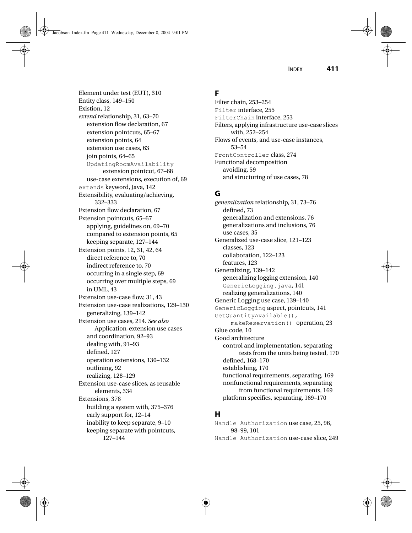Element under test (EUT), 310

Entity class, 149–150 Existion, 12 *extend* relationship, 31, 63–70 extension flow declaration, 67 extension pointcuts, 65–67 extension points, 64 extension use cases, 63 join points, 64–65 UpdatingRoomAvailability extension pointcut, 67–68 use-case extensions, execution of, 69 extends keyword, Java, 142 Extensibility, evaluating/achieving, 332–333 Extension flow declaration, 67 Extension pointcuts, 65–67 applying, guidelines on, 69–70 compared to extension points, 65 keeping separate, 127–144 Extension points, 12, 31, 42, 64 direct reference to, 70 indirect reference to, 70 occurring in a single step, 69 occurring over multiple steps, 69 in UML, 43 Extension use-case flow, 31, 43 Extension use-case realizations, 129–130 generalizing, 139–142 Extension use cases, 214. *See also* Application-extension use cases and coordination, 92–93 dealing with, 91–93 defined, 127 operation extensions, 130–132 outlining, 92 realizing, 128–129 Extension use-case slices, as reusable elements, 334 Extensions, 378 building a system with, 375–376 early support for, 12–14 inability to keep separate, 9–10 keeping separate with pointcuts, 127–144

# **F**

Filter chain, 253–254 Filter interface, 255 FilterChain interface, 253 Filters, applying infrastructure use-case slices with, 252–254 Flows of events, and use-case instances, 53–54 FrontController class, 274 Functional decomposition avoiding, 59 and structuring of use cases, 78

### **G**

*generalization* relationship, 31, 73–76 defined, 73 generalization and extensions, 76 generalizations and inclusions, 76 use cases, 35 Generalized use-case slice, 121–123 classes, 123 collaboration, 122–123 features, 123 Generalizing, 139–142 generalizing logging extension, 140 GenericLogging.java, 141 realizing generalizations, 140 Generic Logging use case, 139–140 GenericLogging aspect, pointcuts, 141 GetQuantityAvailable(), makeReservation() operation, 23 Glue code, 10 Good architecture control and implementation, separating tests from the units being tested, 170 defined, 168–170 establishing, 170 functional requirements, separating, 169 nonfunctional requirements, separating from functional requirements, 169 platform specifics, separating, 169–170

# **H**

Handle Authorization use case, 25, 96, 98–99, 101 Handle Authorization use-case slice, 249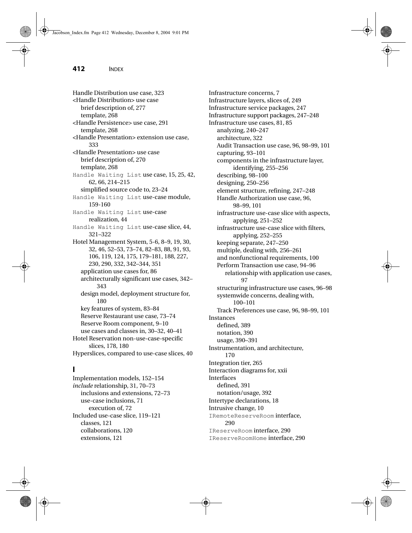Handle Distribution use case, 323 <Handle Distribution> use case brief description of, 277 template, 268 <Handle Persistence> use case, 291 template, 268 <Handle Presentation> extension use case, 333 <Handle Presentation> use case brief description of, 270 template, 268 Handle Waiting List use case, 15, 25, 42, 62, 66, 214–215 simplified source code to, 23–24 Handle Waiting List use-case module, 159-160 Handle Waiting List use-case realization, 44 Handle Waiting List use-case slice, 44, 321–322 Hotel Management System, 5-6, 8–9, 19, 30, 32, 46, 52–53, 73–74, 82–83, 88, 91, 93, 106, 119, 124, 175, 179–181, 188, 227, 230, 290, 332, 342–344, 351 application use cases for, 86 architecturally significant use cases, 342– 343 design model, deployment structure for, 180 key features of system, 83–84 Reserve Restaurant use case, 73–74 Reserve Room component, 9–10 use cases and classes in, 30–32, 40–41 Hotel Reservation non-use-case-specific slices, 178, 180 Hyperslices, compared to use-case slices, 40

### **I**

Implementation models, 152–154 *include* relationship, 31, 70–73 inclusions and extensions, 72–73 use-case inclusions, 71 execution of, 72 Included use-case slice, 119–121 classes, 121 collaborations, 120 extensions, 121

Infrastructure concerns, 7 Infrastructure layers, slices of, 249 Infrastructure service packages, 247 Infrastructure support packages, 247–248 Infrastructure use cases, 81, 85 analyzing, 240–247 architecture, 322 Audit Transaction use case, 96, 98–99, 101 capturing, 93–101 components in the infrastructure layer, identifying, 255–256 describing, 98–100 designing, 250–256 element structure, refining, 247–248 Handle Authorization use case, 96, 98–99, 101 infrastructure use-case slice with aspects, applying, 251–252 infrastructure use-case slice with filters, applying, 252–255 keeping separate, 247–250 multiple, dealing with, 256–261 and nonfunctional requirements, 100 Perform Transaction use case, 94–96 relationship with application use cases, 97 structuring infrastructure use cases, 96–98 systemwide concerns, dealing with, 100–101 Track Preferences use case, 96, 98–99, 101 Instances defined, 389 notation, 390 usage, 390–391 Instrumentation, and architecture, 170 Integration tier, 265 Interaction diagrams for, xxii Interfaces defined, 391 notation/usage, 392 Intertype declarations, 18 Intrusive change, 10 IRemoteReserveRoom interface, 290 IReserveRoom interface, 290 IReserveRoomHome interface, 290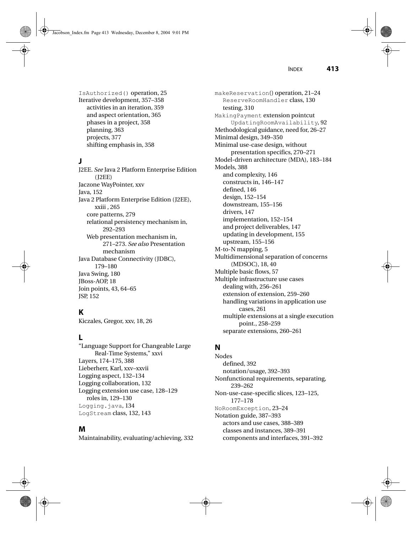Jacobson\_Index.fm Page 413 Wednesday, December 8, 2004 9:01 PM

IsAuthorized() operation, 25 Iterative development, 357–358 activities in an iteration, 359 and aspect orientation, 365 phases in a project, 358 planning, 363 projects, 377 shifting emphasis in, 358

# **J**

J2EE. *See* Java 2 Platform Enterprise Edition (J2EE) Jaczone WayPointer, xxv Java, 152 Java 2 Platform Enterprise Edition (J2EE), xxiii , 265 core patterns, 279 relational persistency mechanism in, 292–293 Web presentation mechanism in, 271–273. *See also* Presentation mechanism Java Database Connectivity (JDBC), 179–180 Java Swing, 180 JBoss-AOP, 18 Join points, 43, 64–65 JSP, 152

# **K**

Kiczales, Gregor, xxv, 18, 26

# **L**

"Language Support for Changeable Large Real-Time Systems," xxvi Layers, 174–175, 388 Lieberherr, Karl, xxv–xxvii Logging aspect, 132–134 Logging collaboration, 132 Logging extension use case, 128–129 roles in, 129–130 Logging.java, 134 LogStream class, 132, 143

# **M**

Maintainability, evaluating/achieving, 332

makeReservation() operation, 21–24 ReserveRoomHandler class, 130 testing, 310 MakingPayment extension pointcut UpdatingRoomAvailability, 92 Methodological guidance, need for, 26–27 Minimal design, 349–350 Minimal use-case design, without presentation specifics, 270–271 Model-driven architecture (MDA), 183–184 Models, 388 and complexity, 146 constructs in, 146–147 defined, 146 design, 152–154 downstream, 155–156 drivers, 147 implementation, 152–154 and project deliverables, 147 updating in development, 155 upstream, 155–156 M-to-N mapping, 5 Multidimensional separation of concerns (MDSOC), 18, 40 Multiple basic flows, 57 Multiple infrastructure use cases dealing with, 256–261 extension of extension, 259–260 handling variations in application use cases, 261 multiple extensions at a single execution point., 258–259 separate extensions, 260–261

# **N**

Nodes defined, 392 notation/usage, 392–393 Nonfunctional requirements, separating, 239–262 Non-use-case-specific slices, 123–125, 177–178 NoRoomException, 23–24 Notation guide, 387–393 actors and use cases, 388–389 classes and instances, 389–391 components and interfaces, 391–392

INDEX **413**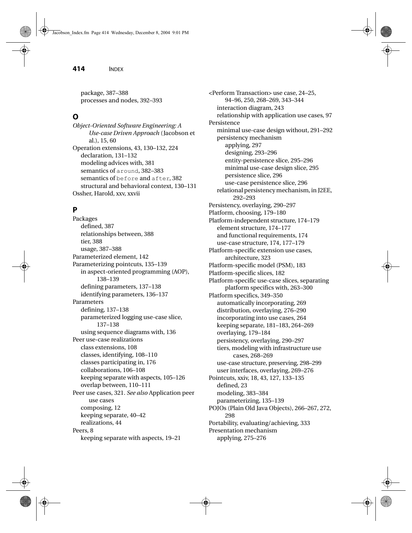package, 387–388 processes and nodes, 392–393

### **O**

*Object-Oriented Software Engineering: A Use-case Driven Approach* (Jacobson et al.), 15, 60 Operation extensions, 43, 130–132, 224 declaration, 131–132 modeling advices with, 381 semantics of around, 382–383 semantics of before and after, 382 structural and behavioral context, 130–131 Ossher, Harold, xxv, xxvii

# **P**

Packages defined, 387 relationships between, 388 tier, 388 usage, 387–388 Parameterized element, 142 Parameterizing pointcuts, 135–139 in aspect-oriented programming (AOP), 138–139 defining parameters, 137–138 identifying parameters, 136–137 Parameters defining, 137–138 parameterized logging use-case slice, 137–138 using sequence diagrams with, 136 Peer use-case realizations class extensions, 108 classes, identifying, 108–110 classes participating in, 176 collaborations, 106–108 keeping separate with aspects, 105–126 overlap between, 110–111 Peer use cases, 321. *See also* Application peer use cases composing, 12 keeping separate, 40–42 realizations, 44 Peers, 8 keeping separate with aspects, 19–21

<Perform Transaction> use case, 24–25, 94–96, 250, 268–269, 343–344 interaction diagram, 243 relationship with application use cases, 97 Persistence minimal use-case design without, 291–292 persistency mechanism applying, 297 designing, 293–296 entity-persistence slice, 295–296 minimal use-case design slice, 295 persistence slice, 296 use-case persistence slice, 296 relational persistency mechanism, in J2EE, 292–293 Persistency, overlaying, 290–297 Platform, choosing, 179–180 Platform-independent structure, 174–179 element structure, 174–177 and functional requirements, 174 use-case structure, 174, 177–179 Platform-specific extension use cases, architecture, 323 Platform-specific model (PSM), 183 Platform-specific slices, 182 Platform-specific use-case slices, separating platform specifics with, 263–300 Platform specifics, 349–350 automatically incorporating, 269 distribution, overlaying, 276–290 incorporating into use cases, 264 keeping separate, 181–183, 264–269 overlaying, 179–184 persistency, overlaying, 290–297 tiers, modeling with infrastructure use cases, 268–269 use-case structure, preserving, 298–299 user interfaces, overlaying, 269–276 Pointcuts, xxiv, 18, 43, 127, 133–135 defined, 23 modeling, 383–384 parameterizing, 135–139 POJOs (Plain Old Java Objects), 266–267, 272, 298 Portability, evaluating/achieving, 333 Presentation mechanism applying, 275–276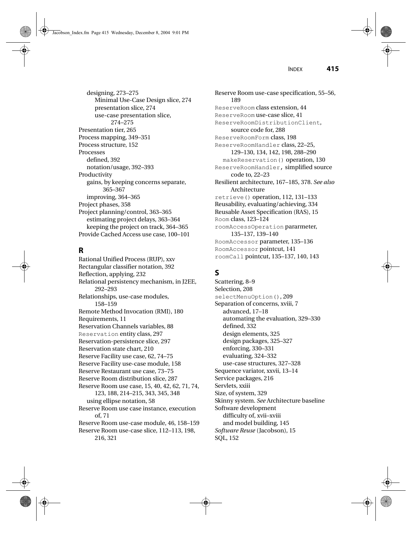designing, 273–275 Minimal Use-Case Design slice, 274 presentation slice, 274 use-case presentation slice, 274–275 Presentation tier, 265 Process mapping, 349–351 Process structure, 152 Processes defined, 392 notation/usage, 392–393 Productivity gains, by keeping concerns separate, 365–367 improving, 364–365 Project phases, 358 Project planning/control, 363–365 estimating project delays, 363–364 keeping the project on track, 364–365 Provide Cached Access use case, 100–101

## **R**

Rational Unified Process (RUP), xxv Rectangular classifier notation, 392 Reflection, applying, 232 Relational persistency mechanism, in J2EE, 292–293 Relationships, use-case modules, 158–159 Remote Method Invocation (RMI), 180 Requirements, 11 Reservation Channels variables, 88 Reservation entity class, 297 Reservation-persistence slice, 297 Reservation state chart, 210 Reserve Facility use case, 62, 74–75 Reserve Facility use-case module, 158 Reserve Restaurant use case, 73–75 Reserve Room distribution slice, 287 Reserve Room use case, 15, 40, 42, 62, 71, 74, 123, 188, 214–215, 343, 345, 348 using ellipse notation, 58 Reserve Room use case instance, execution of, 71 Reserve Room use-case module, 46, 158–159 Reserve Room use-case slice, 112–113, 198, 216, 321

Reserve Room use-case specification, 55–56, 189 ReserveRoom class extension, 44 ReserveRoom use-case slice, 41 ReserveRoomDistributionClient, source code for, 288 ReserveRoomForm class, 198 ReserveRoomHandler class, 22–25, 129–130, 134, 142, 198, 288–290 makeReservation() operation, 130 ReserveRoomHandler, simplified source code to, 22–23 Resilient architecture, 167–185, 378. *See also* Architecture retrieve() operation, 112, 131–133 Reusability, evaluating/achieving, 334 Reusable Asset Specification (RAS), 15 Room class, 123–124 roomAccessOperation pararmeter, 135–137, 139–140 RoomAccessor parameter, 135–136 RoomAccessor pointcut, 141 roomCall pointcut, 135–137, 140, 143

# **S**

Scattering, 8–9 Selection, 208 selectMenuOption(), 209 Separation of concerns, xviii, 7 advanced, 17–18 automating the evaluation, 329–330 defined, 332 design elements, 325 design packages, 325–327 enforcing, 330–331 evaluating, 324–332 use-case structures, 327–328 Sequence variator, xxvii, 13–14 Service packages, 216 Servlets, xxiii Size, of system, 329 Skinny system. *See* Architecture baseline Software development difficulty of, xvii–xviii and model building, 145 *Software Reuse* (Jacobson), 15 SQL, 152

INDEX **415**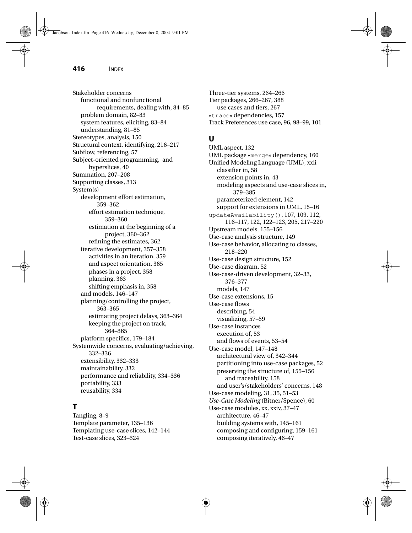Stakeholder concerns functional and nonfunctional requirements, dealing with, 84–85 problem domain, 82–83 system features, eliciting, 83–84 understanding, 81–85 Stereotypes, analysis, 150 Structural context, identifying, 216–217 Subflow, referencing, 57 Subject-oriented programming, and hyperslices, 40 Summation, 207–208 Supporting classes, 313 System(s) development effort estimation, 359–362 effort estimation technique, 359–360 estimation at the beginning of a project, 360–362 refining the estimates, 362 iterative development, 357–358 activities in an iteration, 359 and aspect orientation, 365 phases in a project, 358 planning, 363 shifting emphasis in, 358 and models, 146–147 planning/controlling the project, 363–365 estimating project delays, 363–364 keeping the project on track, 364–365 platform specifics, 179–184 Systemwide concerns, evaluating/achieving, 332–336 extensibility, 332–333 maintainability, 332 performance and reliability, 334–336 portability, 333 reusability, 334

# **T**

Tangling, 8–9 Template parameter, 135–136 Templating use-case slices, 142–144 Test-case slices, 323–324

Three-tier systems, 264–266 Tier packages, 266–267, 388 use cases and tiers, 267 «trace» dependencies, 157 Track Preferences use case, 96, 98–99, 101

# **U**

UML aspect, 132 UML package «merge» dependency, 160 Unified Modeling Language (UML), xxii classifier in, 58 extension points in, 43 modeling aspects and use-case slices in, 379–385 parameterized element, 142 support for extensions in UML, 15–16 updateAvailability(), 107, 109, 112, 116–117, 122, 122–123, 205, 217–220 Upstream models, 155–156 Use-case analysis structure, 149 Use-case behavior, allocating to classes, 218–220 Use-case design structure, 152 Use-case diagram, 52 Use-case-driven development, 32–33, 376–377 models, 147 Use-case extensions, 15 Use-case flows describing, 54 visualizing, 57–59 Use-case instances execution of, 53 and flows of events, 53–54 Use-case model, 147–148 architectural view of, 342–344 partitioning into use-case packages, 52 preserving the structure of, 155–156 and traceability, 158 and user's/stakeholders' concerns, 148 Use-case modeling, 31, 35, 51–53 *Use-Case Modeling* (Bitner/Spence), 60 Use-case modules, xx, xxiv, 37–47 architecture, 46–47 building systems with, 145–161 composing and configuring, 159–161 composing iteratively, 46–47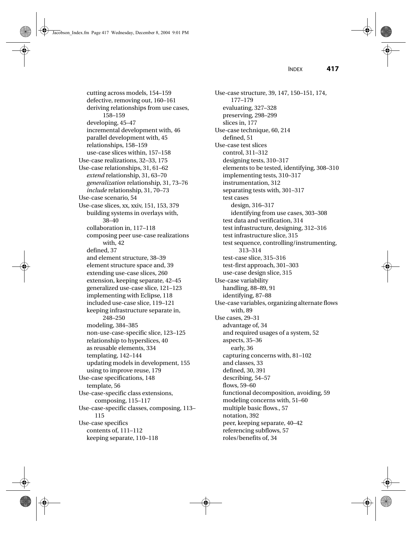Jacobson\_Index.fm Page 417 Wednesday, December 8, 2004 9:01 PM

INDEX **417**

cutting across models, 154–159 defective, removing out, 160–161 deriving relationships from use cases, 158–159 developing, 45–47 incremental development with, 46 parallel development with, 45 relationships, 158–159 use-case slices within, 157–158 Use-case realizations, 32–33, 175 Use-case relationships, 31, 61–62 *extend* relationship, 31, 63–70 *generalization* relationship, 31, 73–76 *include* relationship, 31, 70–73 Use-case scenario, 54 Use-case slices, xx, xxiv, 151, 153, 379 building systems in overlays with, 38–40 collaboration in, 117–118 composing peer use-case realizations with, 42 defined, 37 and element structure, 38–39 element structure space and, 39 extending use-case slices, 260 extension, keeping separate, 42–45 generalized use-case slice, 121–123 implementing with Eclipse, 118 included use-case slice, 119–121 keeping infrastructure separate in, 248–250 modeling, 384–385 non-use-case-specific slice, 123–125 relationship to hyperslices, 40 as reusable elements, 334 templating, 142–144 updating models in development, 155 using to improve reuse, 179 Use-case specifications, 148 template, 56 Use-case-specific class extensions, composing, 115–117 Use-case-specific classes, composing, 113– 115 Use-case specifics contents of, 111–112 keeping separate, 110–118

Use-case structure, 39, 147, 150–151, 174, 177–179 evaluating, 327–328 preserving, 298–299 slices in, 177 Use-case technique, 60, 214 defined, 51 Use-case test slices control, 311–312 designing tests, 310–317 elements to be tested, identifying, 308–310 implementing tests, 310–317 instrumentation, 312 separating tests with, 301–317 test cases design, 316–317 identifying from use cases, 303–308 test data and verification, 314 test infrastructure, designing, 312–316 test infrastructure slice, 315 test sequence, controlling/instrumenting, 313–314 test-case slice, 315–316 test-first approach, 301–303 use-case design slice, 315 Use-case variability handling, 88–89, 91 identifying, 87–88 Use-case variables, organizing alternate flows with, 89 Use cases, 29–31 advantage of, 34 and required usages of a system, 52 aspects, 35–36 early, 36 capturing concerns with, 81–102 and classes, 33 defined, 30, 391 describing, 54–57 flows, 59–60 functional decomposition, avoiding, 59 modeling concerns with, 51–60 multiple basic flows., 57 notation, 392 peer, keeping separate, 40–42 referencing subflows, 57 roles/benefits of, 34